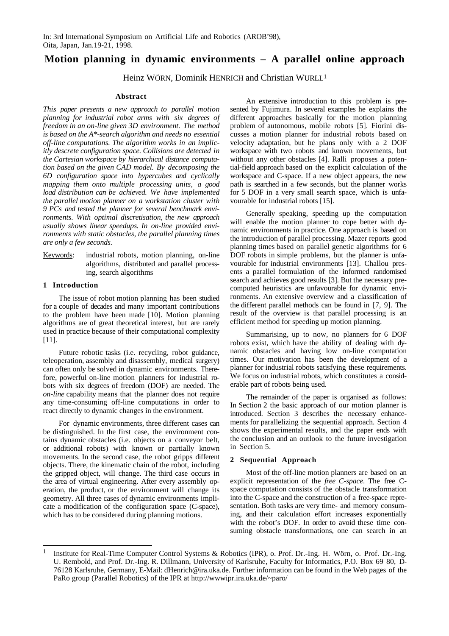# **Motion planning in dynamic environments – A parallel online approach**

Heinz WÖRN, Dominik HENRICH and Christian WURLL<sup>1</sup>

### **Abstract**

*This paper presents a new approach to parallel motion planning for industrial robot arms with six degrees of freedom in an on-line given 3D environment. The method is based on the A\*-search algorithm and needs no essential off-line computations. The algorithm works in an implicitly descrete configuration space. Collisions are detected in the Cartesian workspace by hierarchical distance computation based on the given CAD model. By decomposing the 6D configuration space into hypercubes and cyclically mapping them onto multiple processing units, a good load distribution can be achieved. We have implemented the parallel motion planner on a workstation cluster with 9 PCs and tested the planner for several benchmark environments. With optimal discretisation, the new approach usually shows linear speedups. In on-line provided environments with static obstacles, the parallel planning times are only a few seconds.*

Keywords: industrial robots, motion planning, on-line algorithms, distributed and parallel processing, search algorithms

## **1 Introduction**

The issue of robot motion planning has been studied for a couple of decades and many important contributions to the problem have been made [10]. Motion planning algorithms are of great theoretical interest, but are rarely used in practice because of their computational complexity [11].

Future robotic tasks (i.e. recycling, robot guidance, teleoperation, assembly and disassembly, medical surgery) can often only be solved in dynamic environments. Therefore, powerful on-line motion planners for industrial robots with six degrees of freedom (DOF) are needed. The *on-line* capability means that the planner does not require any time-consuming off-line computations in order to react directly to dynamic changes in the environment.

For dynamic environments, three different cases can be distinguished. In the first case, the environment contains dynamic obstacles (i.e. objects on a conveyor belt, or additional robots) with known or partially known movements. In the second case, the robot gripps different objects. There, the kinematic chain of the robot, including the gripped object, will change. The third case occurs in the area of virtual engineering. After every assembly operation, the product, or the environment will change its geometry. All three cases of dynamic environments implicate a modification of the configuration space (C-space), which has to be considered during planning motions.

An extensive introduction to this problem is presented by Fujimura. In several examples he explains the different approaches basically for the motion planning problem of autonomous, mobile robots [5]. Fiorini discusses a motion planner for industrial robots based on velocity adaptation, but he plans only with a 2 DOF workspace with two robots and known movements, but without any other obstacles [4]. Ralli proposes a potential-field approach based on the explicit calculation of the workspace and C-space. If a new object appears, the new path is searched in a few seconds, but the planner works for 5 DOF in a very small search space, which is unfavourable for industrial robots [15].

Generally speaking, speeding up the computation will enable the motion planner to cope better with dynamic environments in practice. One approach is based on the introduction of parallel processing. Mazer reports good planning times based on parallel genetic algorithms for 6 DOF robots in simple problems, but the planner is unfavourable for industrial environments [13]. Challou presents a parallel formulation of the informed randomised search and achieves good results [3]. But the necessary precomputed heuristics are unfavourable for dynamic environments. An extensive overview and a classification of the different parallel methods can be found in [7, 9]. The result of the overview is that parallel processing is an efficient method for speeding up motion planning.

Summarising, up to now, no planners for 6 DOF robots exist, which have the ability of dealing with dynamic obstacles and having low on-line computation times. Our motivation has been the development of a planner for industrial robots satisfying these requirements. We focus on industrial robots, which constitutes a considerable part of robots being used.

The remainder of the paper is organised as follows: In Section 2 the basic approach of our motion planner is introduced. Section 3 describes the necessary enhancements for parallelizing the sequential approach. Section 4 shows the experimental results, and the paper ends with the conclusion and an outlook to the future investigation in Section 5.

## **2 Sequential Approach**

Most of the off-line motion planners are based on an explicit representation of the *free C-space*. The free Cspace computation consists of the obstacle transformation into the C-space and the construction of a free-space representation. Both tasks are very time- and memory consuming, and their calculation effort increases exponentially with the robot's DOF. In order to avoid these time consuming obstacle transformations, one can search in an

 $\mathbf{1}$ 1 Institute for Real-Time Computer Control Systems & Robotics (IPR), o. Prof. Dr.-Ing. H. Wörn, o. Prof. Dr.-Ing. U. Rembold, and Prof. Dr.-Ing. R. Dillmann, University of Karlsruhe, Faculty for Informatics, P.O. Box 69 80, D-76128 Karlsruhe, Germany, E-Mail: dHenrich@ira.uka.de. Further information can be found in the Web pages of the PaRo group (Parallel Robotics) of the IPR at http://www.ipr.ira.uka.de/~paro/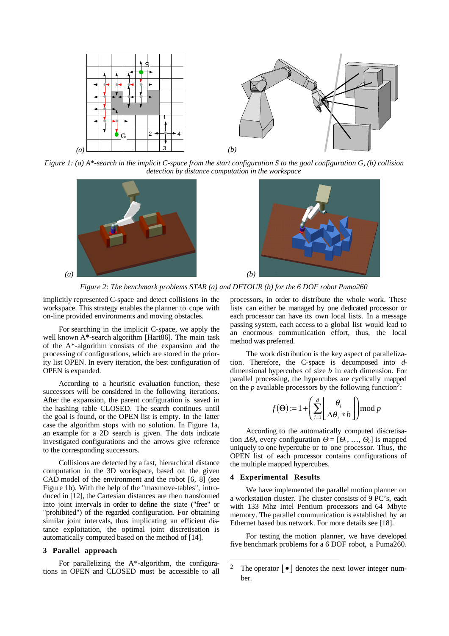

*Figure 1: (a) A\*-search in the implicit C-space from the start configuration S to the goal configuration G, (b) collision detection by distance computation in the workspace*





*Figure 2: The benchmark problems STAR (a) and DETOUR (b) for the 6 DOF robot Puma260*

implicitly represented C-space and detect collisions in the workspace. This strategy enables the planner to cope with on-line provided environments and moving obstacles.

For searching in the implicit C-space, we apply the well known A\*-search algorithm [Hart86]. The main task of the A\*-algorithm consists of the expansion and the processing of configurations, which are stored in the priority list OPEN. In every iteration, the best configuration of OPEN is expanded.

According to a heuristic evaluation function, these successors will be considered in the following iterations. After the expansion, the parent configuration is saved in the hashing table CLOSED. The search continues until the goal is found, or the OPEN list is empty. In the latter case the algorithm stops with no solution. In Figure 1a, an example for a 2D search is given. The dots indicate investigated configurations and the arrows give reference to the corresponding successors.

Collisions are detected by a fast, hierarchical distance computation in the 3D workspace, based on the given CAD model of the environment and the robot [6, 8] (see Figure 1b). With the help of the "maxmove-tables", introduced in [12], the Cartesian distances are then transformed into joint intervals in order to define the state ("free" or "prohibited") of the regarded configuration. For obtaining similar joint intervals, thus implicating an efficient distance exploitation, the optimal joint discretisation is automatically computed based on the method of [14].

## **3 Parallel approach**

For parallelizing the A\*-algorithm, the configurations in OPEN and CLOSED must be accessible to all processors, in order to distribute the whole work. These lists can either be managed by one dedicated processor or each processor can have its own local lists. In a message passing system, each access to a global list would lead to an enormous communication effort, thus, the local method was preferred.

The work distribution is the key aspect of parallelization. Therefore, the C-space is decomposed into *d*dimensional hypercubes of size *b* in each dimension. For parallel processing, the hypercubes are cyclically mapped on the  $p$  available processors by the following function<sup>2</sup>:

$$
f(\Theta) := 1 + \left(\sum_{i=1}^{d} \left\lfloor \frac{\theta_i}{\Delta \theta_i * b} \right\rfloor \mod p
$$

According to the automatically computed discretisation  $\Delta\Theta_i$ , every configuration  $\Theta = [\Theta_1, ..., \Theta_d]$  is mapped uniquely to one hypercube or to one processor. Thus, the OPEN list of each processor contains configurations of the multiple mapped hypercubes.

#### **4 Experimental Results**

We have implemented the parallel motion planner on a workstation cluster. The cluster consists of 9 PC's, each with 133 Mhz Intel Pentium processors and 64 Mbyte memory. The parallel communication is established by an Ethernet based bus network. For more details see [18].

For testing the motion planner, we have developed five benchmark problems for a 6 DOF robot, a Puma260.

 $\overline{2}$ The operator  $\vert \bullet \vert$  denotes the next lower integer number.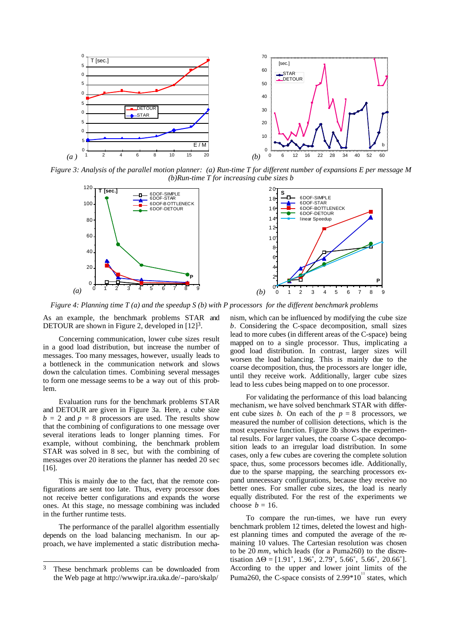

*Figure 3: Analysis of the parallel motion planner: (a) Run-time T for different number of expansions E per message M (b)Run-time T for increasing cube sizes b*





*Figure 4: Planning time T (a) and the speedup S (b) with P processors for the different benchmark problems*

As an example, the benchmark problems STAR and DETOUR are shown in Figure 2, developed in  $[12]^{3}$ .

Concerning communication, lower cube sizes result in a good load distribution, but increase the number of messages. Too many messages, however, usually leads to a bottleneck in the communication network and slows down the calculation times. Combining several messages to form one message seems to be a way out of this problem.

Evaluation runs for the benchmark problems STAR and DETOUR are given in Figure 3a. Here, a cube size  $b = 2$  and  $p = 8$  processors are used. The results show that the combining of configurations to one message over several iterations leads to longer planning times. For example, without combining, the benchmark problem STAR was solved in 8 sec, but with the combining of messages over 20 iterations the planner has needed 20 sec [16].

This is mainly due to the fact, that the remote configurations are sent too late. Thus, every processor does not receive better configurations and expands the worse ones. At this stage, no message combining was included in the further runtime tests.

The performance of the parallel algorithm essentially depends on the load balancing mechanism. In our approach, we have implemented a static distribution mecha-

 $\overline{a}$ 

nism, which can be influenced by modifying the cube size *b*. Considering the C-space decomposition, small sizes lead to more cubes (in different areas of the C-space) being mapped on to a single processor. Thus, implicating a good load distribution. In contrast, larger sizes will worsen the load balancing. This is mainly due to the coarse decomposition, thus, the processors are longer idle, until they receive work. Additionally, larger cube sizes lead to less cubes being mapped on to one processor.

For validating the performance of this load balancing mechanism, we have solved benchmark STAR with different cube sizes *b*. On each of the  $p = 8$  processors, we measured the number of collision detections, which is the most expensive function. Figure 3b shows the experimental results. For larger values, the coarse C-space decomposition leads to an irregular load distribution. In some cases, only a few cubes are covering the complete solution space, thus, some processors becomes idle. Additionally, due to the sparse mapping, the searching processors expand unnecessary configurations, because they receive no better ones. For smaller cube sizes, the load is nearly equally distributed. For the rest of the experiments we choose  $b = 16$ .

To compare the run-times, we have run every benchmark problem 12 times, deleted the lowest and highest planning times and computed the average of the remaining 10 values. The Cartesian resolution was chosen to be 20 *mm*, which leads (for a Puma260) to the discretisation  $\Delta\Theta = [1.91^\circ, 1.96^\circ, 2.79^\circ, 5.66^\circ, 5.66^\circ, 20.66^\circ]$ . According to the upper and lower joint limits of the Puma260, the C-space consists of  $2.99*10<sup>11</sup>$  states, which

<sup>3</sup> These benchmark problems can be downloaded from the Web page at http://wwwipr.ira.uka.de/~paro/skalp/